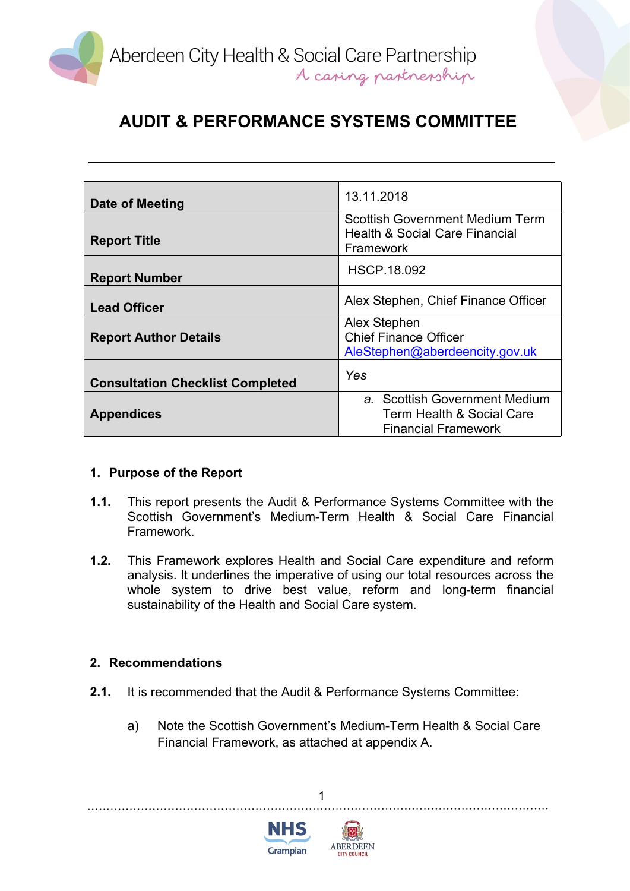

| Date of Meeting                         | 13.11.2018                                             |
|-----------------------------------------|--------------------------------------------------------|
|                                         | <b>Scottish Government Medium Term</b>                 |
| <b>Report Title</b>                     | <b>Health &amp; Social Care Financial</b><br>Framework |
|                                         |                                                        |
|                                         | <b>HSCP.18.092</b>                                     |
| <b>Report Number</b>                    |                                                        |
| <b>Lead Officer</b>                     | Alex Stephen, Chief Finance Officer                    |
|                                         | Alex Stephen                                           |
| <b>Report Author Details</b>            | <b>Chief Finance Officer</b>                           |
|                                         | AleStephen@aberdeencity.gov.uk                         |
| <b>Consultation Checklist Completed</b> | Yes                                                    |
|                                         | a. Scottish Government Medium                          |
| <b>Appendices</b>                       | Term Health & Social Care                              |
|                                         | <b>Financial Framework</b>                             |

### **1. Purpose of the Report**

- **1.1.** This report presents the Audit & Performance Systems Committee with the Scottish Government's Medium-Term Health & Social Care Financial Framework.
- **1.2.** This Framework explores Health and Social Care expenditure and reform analysis. It underlines the imperative of using our total resources across the whole system to drive best value, reform and long-term financial sustainability of the Health and Social Care system.

#### **2. Recommendations**

- **2.1.** It is recommended that the Audit & Performance Systems Committee:
	- a) Note the Scottish Government's Medium-Term Health & Social Care Financial Framework, as attached at appendix A.



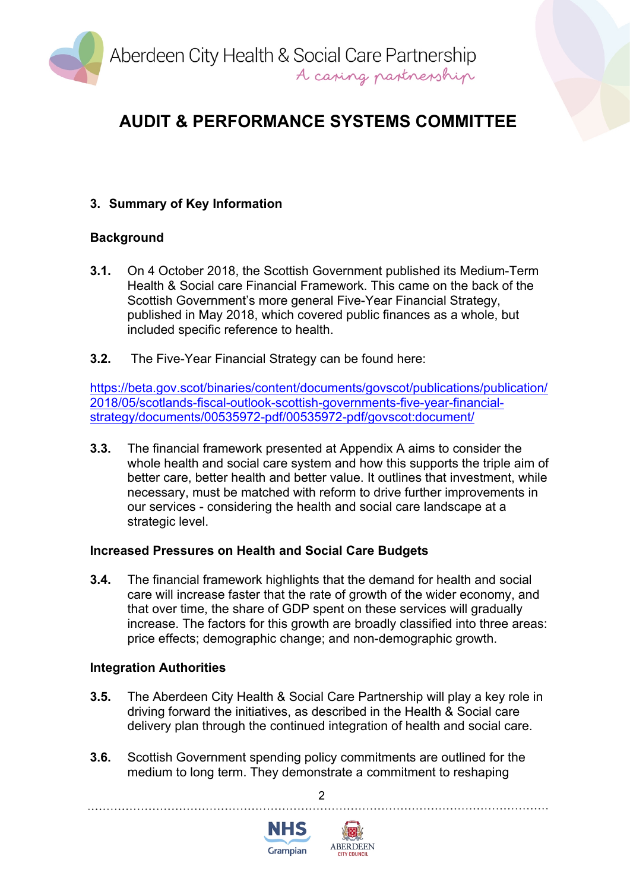

## **3. Summary of Key Information**

### **Background**

- **3.1.** On 4 October 2018, the Scottish Government published its Medium-Term Health & Social care Financial Framework. This came on the back of the Scottish Government's more general Five-Year Financial Strategy, published in May 2018, which covered public finances as a whole, but included specific reference to health.
- **3.2.** The Five-Year Financial Strategy can be found here:

[https://beta.gov.scot/binaries/content/documents/govscot/publications/publication/](https://beta.gov.scot/binaries/content/documents/govscot/publications/publication/2018/05/scotlands-fiscal-outlook-scottish-governments-five-year-financial-strategy/documents/00535972-pdf/00535972-pdf/govscot:document/) [2018/05/scotlands-fiscal-outlook-scottish-governments-five-year-financial](https://beta.gov.scot/binaries/content/documents/govscot/publications/publication/2018/05/scotlands-fiscal-outlook-scottish-governments-five-year-financial-strategy/documents/00535972-pdf/00535972-pdf/govscot:document/)[strategy/documents/00535972-pdf/00535972-pdf/govscot:document/](https://beta.gov.scot/binaries/content/documents/govscot/publications/publication/2018/05/scotlands-fiscal-outlook-scottish-governments-five-year-financial-strategy/documents/00535972-pdf/00535972-pdf/govscot:document/)

**3.3.** The financial framework presented at Appendix A aims to consider the whole health and social care system and how this supports the triple aim of better care, better health and better value. It outlines that investment, while necessary, must be matched with reform to drive further improvements in our services - considering the health and social care landscape at a strategic level.

### **Increased Pressures on Health and Social Care Budgets**

**3.4.** The financial framework highlights that the demand for health and social care will increase faster that the rate of growth of the wider economy, and that over time, the share of GDP spent on these services will gradually increase. The factors for this growth are broadly classified into three areas: price effects; demographic change; and non-demographic growth.

### **Integration Authorities**

- **3.5.** The Aberdeen City Health & Social Care Partnership will play a key role in driving forward the initiatives, as described in the Health & Social care delivery plan through the continued integration of health and social care.
- **3.6.** Scottish Government spending policy commitments are outlined for the medium to long term. They demonstrate a commitment to reshaping



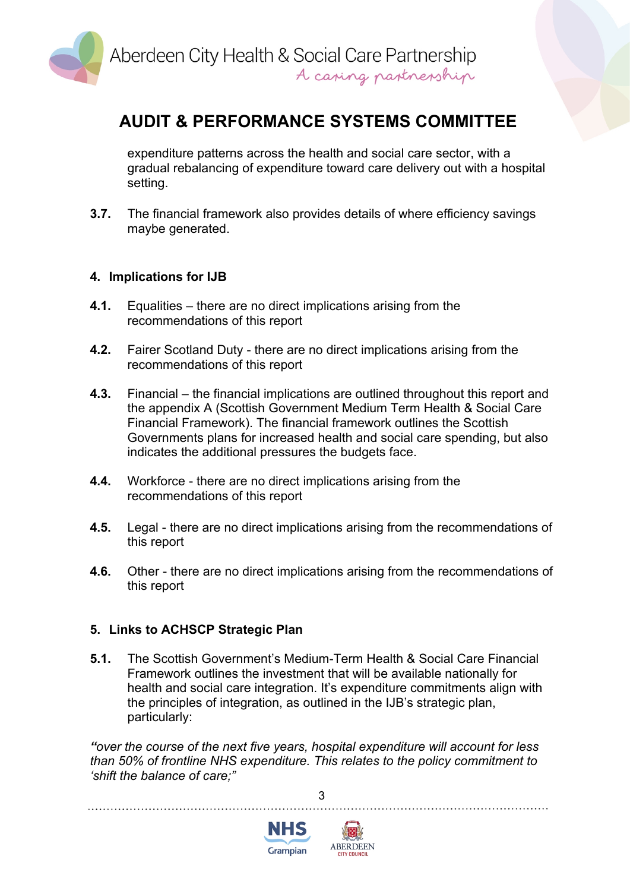

expenditure patterns across the health and social care sector, with a gradual rebalancing of expenditure toward care delivery out with a hospital setting.

**3.7.** The financial framework also provides details of where efficiency savings maybe generated.

#### **4. Implications for IJB**

- **4.1.** Equalities there are no direct implications arising from the recommendations of this report
- **4.2.** Fairer Scotland Duty there are no direct implications arising from the recommendations of this report
- **4.3.** Financial the financial implications are outlined throughout this report and the appendix A (Scottish Government Medium Term Health & Social Care Financial Framework). The financial framework outlines the Scottish Governments plans for increased health and social care spending, but also indicates the additional pressures the budgets face.
- **4.4.** Workforce there are no direct implications arising from the recommendations of this report
- **4.5.** Legal there are no direct implications arising from the recommendations of this report
- **4.6.** Other there are no direct implications arising from the recommendations of this report

#### **5. Links to ACHSCP Strategic Plan**

**5.1.** The Scottish Government's Medium-Term Health & Social Care Financial Framework outlines the investment that will be available nationally for health and social care integration. It's expenditure commitments align with the principles of integration, as outlined in the IJB's strategic plan, particularly:

*"over the course of the next five years, hospital expenditure will account for less than 50% of frontline NHS expenditure. This relates to the policy commitment to 'shift the balance of care;"*